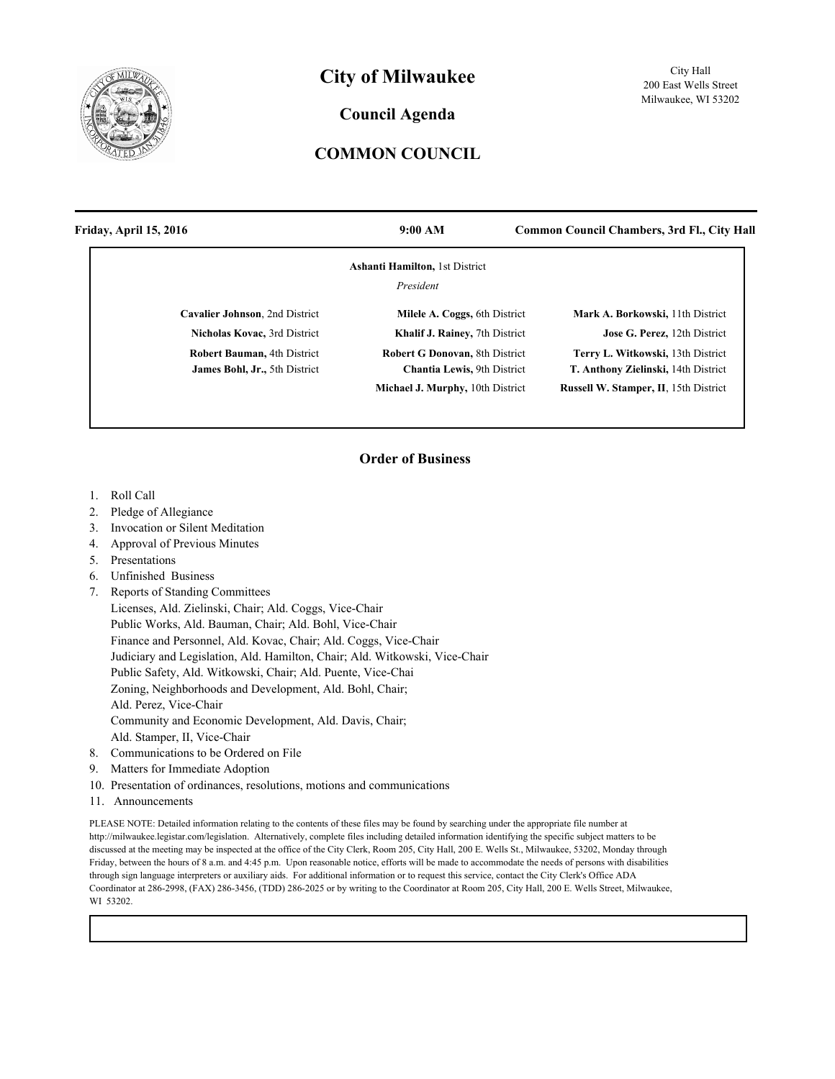

## **City of Milwaukee**

## **Council Agenda**

## **COMMON COUNCIL**

| Friday, April 15, 2016                                                     | 9:00 AM                                                                      | <b>Common Council Chambers, 3rd Fl., City Hall</b>                       |
|----------------------------------------------------------------------------|------------------------------------------------------------------------------|--------------------------------------------------------------------------|
|                                                                            | <b>Ashanti Hamilton, 1st District</b>                                        |                                                                          |
|                                                                            | President                                                                    |                                                                          |
| Cavalier Johnson, 2nd District                                             | Milele A. Coggs, 6th District                                                | Mark A. Borkowski, 11th District                                         |
| Nicholas Kovac, 3rd District                                               | Khalif J. Rainey, 7th District                                               | Jose G. Perez, 12th District                                             |
| <b>Robert Bauman, 4th District</b><br><b>James Bohl, Jr., 5th District</b> | <b>Robert G Donovan, 8th District</b><br><b>Chantia Lewis</b> , 9th District | Terry L. Witkowski, 13th District<br>T. Anthony Zielinski, 14th District |
|                                                                            | Michael J. Murphy, 10th District                                             | <b>Russell W. Stamper, II. 15th District</b>                             |

## **Order of Business**

- 1. Roll Call
- 2. Pledge of Allegiance
- 3. Invocation or Silent Meditation
- 4. Approval of Previous Minutes
- 5. Presentations
- 6. Unfinished Business
- 7. Reports of Standing Committees
	- Licenses, Ald. Zielinski, Chair; Ald. Coggs, Vice-Chair Public Works, Ald. Bauman, Chair; Ald. Bohl, Vice-Chair Finance and Personnel, Ald. Kovac, Chair; Ald. Coggs, Vice-Chair Judiciary and Legislation, Ald. Hamilton, Chair; Ald. Witkowski, Vice-Chair Public Safety, Ald. Witkowski, Chair; Ald. Puente, Vice-Chai Zoning, Neighborhoods and Development, Ald. Bohl, Chair; Ald. Perez, Vice-Chair Community and Economic Development, Ald. Davis, Chair; Ald. Stamper, II, Vice-Chair
- 8. Communications to be Ordered on File
- 9. Matters for Immediate Adoption
- 10. Presentation of ordinances, resolutions, motions and communications
- 11. Announcements

PLEASE NOTE: Detailed information relating to the contents of these files may be found by searching under the appropriate file number at http://milwaukee.legistar.com/legislation. Alternatively, complete files including detailed information identifying the specific subject matters to be discussed at the meeting may be inspected at the office of the City Clerk, Room 205, City Hall, 200 E. Wells St., Milwaukee, 53202, Monday through Friday, between the hours of 8 a.m. and 4:45 p.m. Upon reasonable notice, efforts will be made to accommodate the needs of persons with disabilities through sign language interpreters or auxiliary aids. For additional information or to request this service, contact the City Clerk's Office ADA Coordinator at 286-2998, (FAX) 286-3456, (TDD) 286-2025 or by writing to the Coordinator at Room 205, City Hall, 200 E. Wells Street, Milwaukee, WI 53202.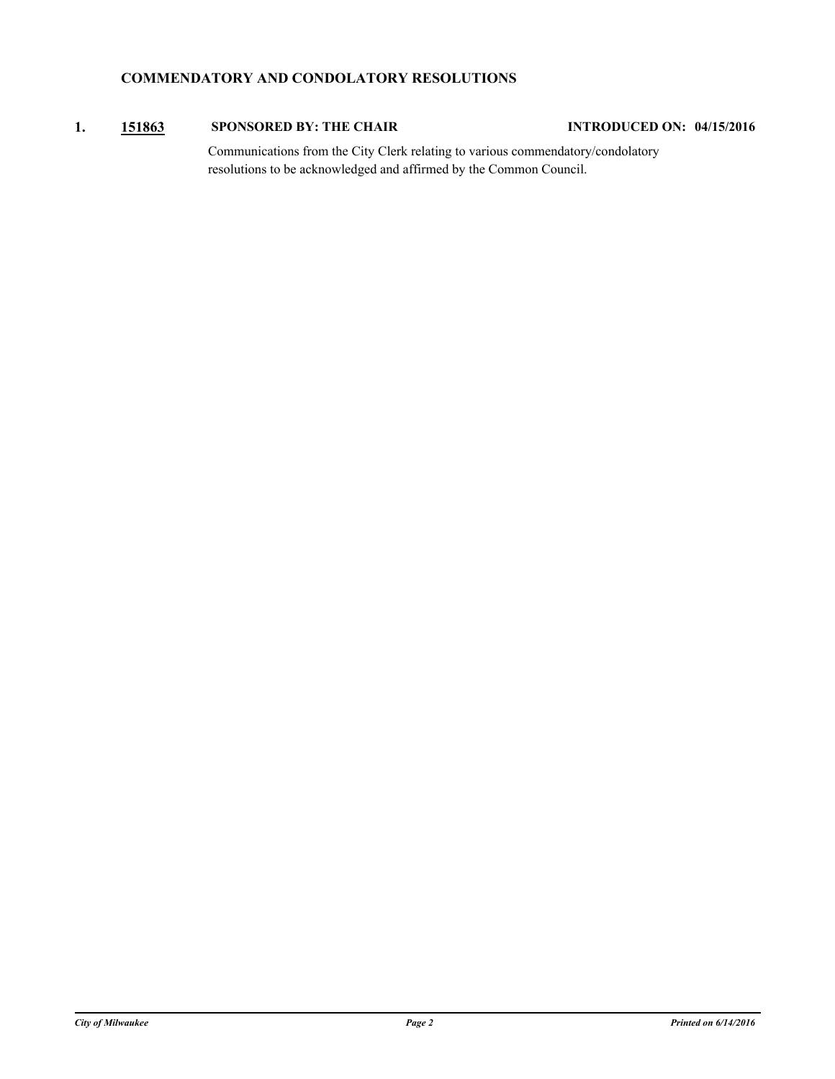## **COMMENDATORY AND CONDOLATORY RESOLUTIONS**

## **1. [151863](http://milwaukee.legistar.com/gateway.aspx?m=l&id=43590) SPONSORED BY: THE CHAIR INTRODUCED ON: 04/15/2016**

Communications from the City Clerk relating to various commendatory/condolatory resolutions to be acknowledged and affirmed by the Common Council.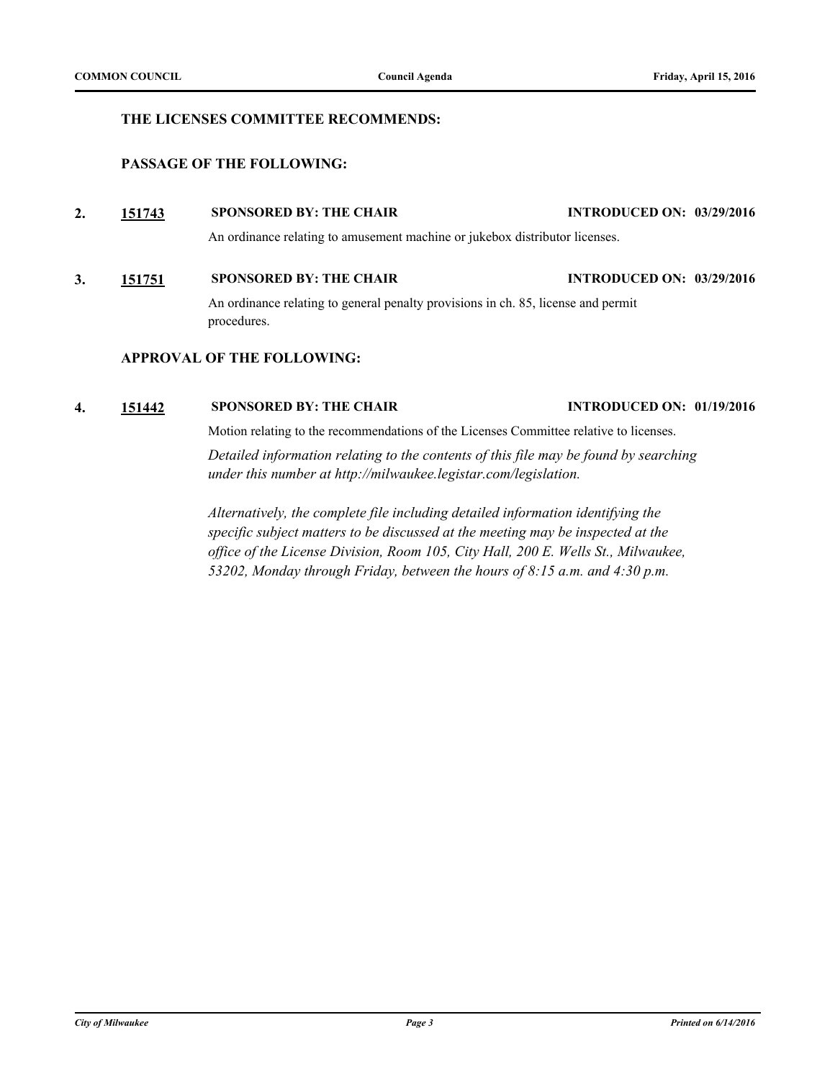## **THE LICENSES COMMITTEE RECOMMENDS:**

## **PASSAGE OF THE FOLLOWING:**

**2. [151743](http://milwaukee.legistar.com/gateway.aspx?m=l&id=43454) SPONSORED BY: THE CHAIR INTRODUCED ON: 03/29/2016**

An ordinance relating to amusement machine or jukebox distributor licenses.

## **3. [151751](http://milwaukee.legistar.com/gateway.aspx?m=l&id=43463) SPONSORED BY: THE CHAIR INTRODUCED ON: 03/29/2016**

An ordinance relating to general penalty provisions in ch. 85, license and permit procedures.

## **APPROVAL OF THE FOLLOWING:**

## **4. [151442](http://milwaukee.legistar.com/gateway.aspx?m=l&id=43072) SPONSORED BY: THE CHAIR INTRODUCED ON: 01/19/2016**

Motion relating to the recommendations of the Licenses Committee relative to licenses.

*Detailed information relating to the contents of this file may be found by searching under this number at http://milwaukee.legistar.com/legislation.*

*Alternatively, the complete file including detailed information identifying the specific subject matters to be discussed at the meeting may be inspected at the office of the License Division, Room 105, City Hall, 200 E. Wells St., Milwaukee, 53202, Monday through Friday, between the hours of 8:15 a.m. and 4:30 p.m.*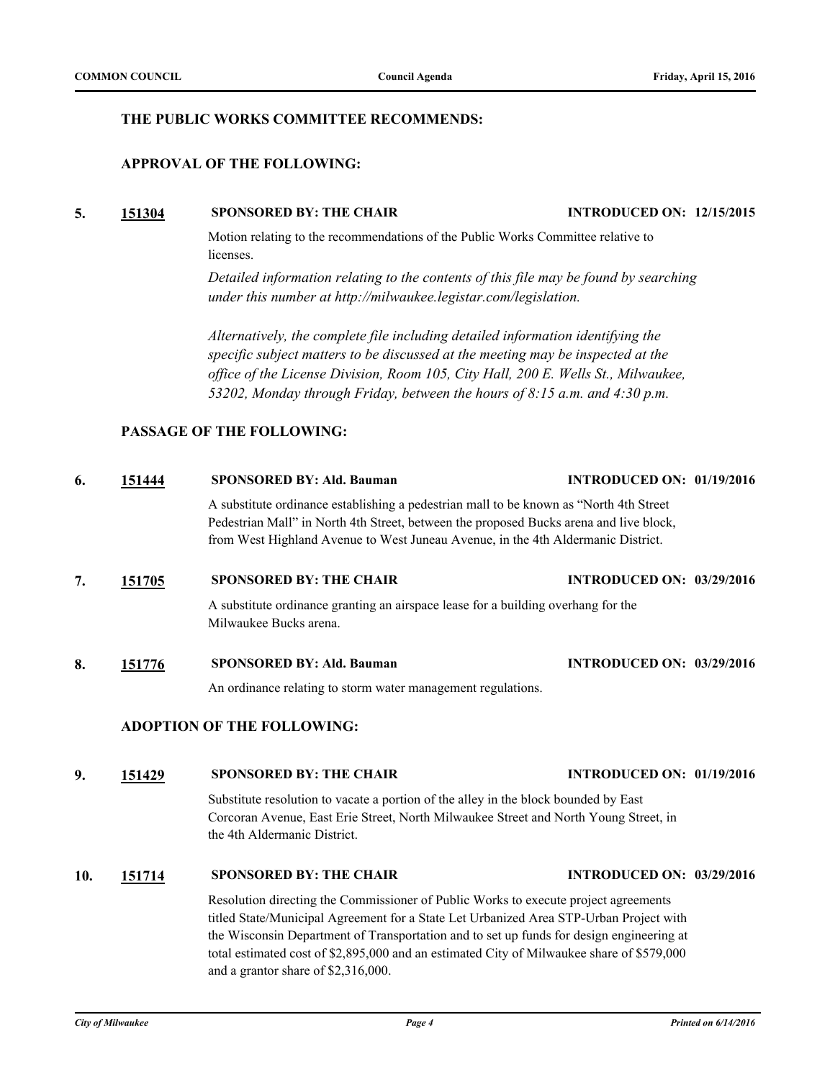## **THE PUBLIC WORKS COMMITTEE RECOMMENDS:**

## **APPROVAL OF THE FOLLOWING:**

#### **5. [151304](http://milwaukee.legistar.com/gateway.aspx?m=l&id=42903) SPONSORED BY: THE CHAIR INTRODUCED ON: 12/15/2015**

Motion relating to the recommendations of the Public Works Committee relative to licenses.

*Detailed information relating to the contents of this file may be found by searching under this number at http://milwaukee.legistar.com/legislation.*

*Alternatively, the complete file including detailed information identifying the specific subject matters to be discussed at the meeting may be inspected at the office of the License Division, Room 105, City Hall, 200 E. Wells St., Milwaukee, 53202, Monday through Friday, between the hours of 8:15 a.m. and 4:30 p.m.*

## **PASSAGE OF THE FOLLOWING:**

# **6. [151444](http://milwaukee.legistar.com/gateway.aspx?m=l&id=43074) SPONSORED BY: Ald. Bauman INTRODUCED ON: 01/19/2016** A substitute ordinance establishing a pedestrian mall to be known as "North 4th Street Pedestrian Mall" in North 4th Street, between the proposed Bucks arena and live block, from West Highland Avenue to West Juneau Avenue, in the 4th Aldermanic District. **7. [151705](http://milwaukee.legistar.com/gateway.aspx?m=l&id=43402) SPONSORED BY: THE CHAIR INTRODUCED ON: 03/29/2016** A substitute ordinance granting an airspace lease for a building overhang for the Milwaukee Bucks arena. **8. [151776](http://milwaukee.legistar.com/gateway.aspx?m=l&id=43488) SPONSORED BY: Ald. Bauman INTRODUCED ON: 03/29/2016** An ordinance relating to storm water management regulations. **ADOPTION OF THE FOLLOWING: 9. [151429](http://milwaukee.legistar.com/gateway.aspx?m=l&id=43059) SPONSORED BY: THE CHAIR INTRODUCED ON: 01/19/2016**

Substitute resolution to vacate a portion of the alley in the block bounded by East Corcoran Avenue, East Erie Street, North Milwaukee Street and North Young Street, in the 4th Aldermanic District.

## **10. [151714](http://milwaukee.legistar.com/gateway.aspx?m=l&id=43413) SPONSORED BY: THE CHAIR INTRODUCED ON: 03/29/2016**

Resolution directing the Commissioner of Public Works to execute project agreements titled State/Municipal Agreement for a State Let Urbanized Area STP-Urban Project with the Wisconsin Department of Transportation and to set up funds for design engineering at total estimated cost of \$2,895,000 and an estimated City of Milwaukee share of \$579,000 and a grantor share of \$2,316,000.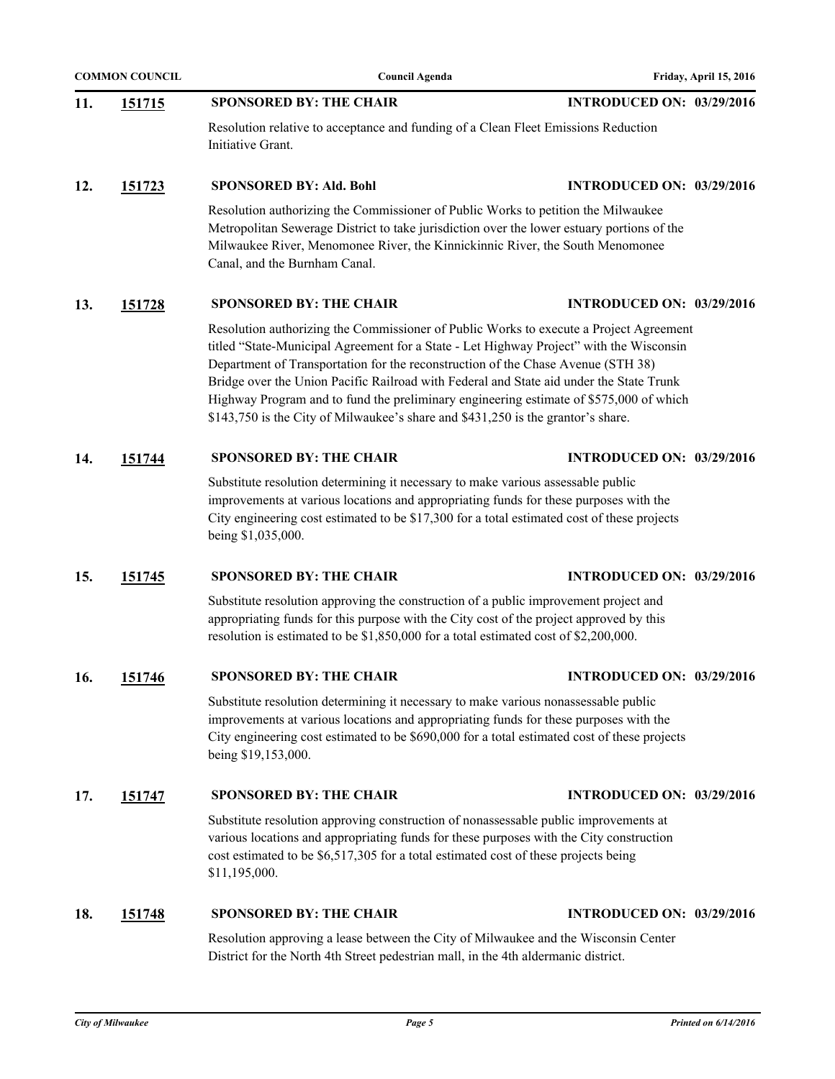|     | <b>COMMON COUNCIL</b> | <b>Council Agenda</b>                                                                                                                                                                                                                                                                                                                                                                                                                                                                                                                          | Friday, April 15, 2016           |
|-----|-----------------------|------------------------------------------------------------------------------------------------------------------------------------------------------------------------------------------------------------------------------------------------------------------------------------------------------------------------------------------------------------------------------------------------------------------------------------------------------------------------------------------------------------------------------------------------|----------------------------------|
| 11. | <u>151715</u>         | <b>SPONSORED BY: THE CHAIR</b>                                                                                                                                                                                                                                                                                                                                                                                                                                                                                                                 | <b>INTRODUCED ON: 03/29/2016</b> |
|     |                       | Resolution relative to acceptance and funding of a Clean Fleet Emissions Reduction<br>Initiative Grant.                                                                                                                                                                                                                                                                                                                                                                                                                                        |                                  |
| 12. | <u>151723</u>         | <b>SPONSORED BY: Ald. Bohl</b>                                                                                                                                                                                                                                                                                                                                                                                                                                                                                                                 | <b>INTRODUCED ON: 03/29/2016</b> |
|     |                       | Resolution authorizing the Commissioner of Public Works to petition the Milwaukee<br>Metropolitan Sewerage District to take jurisdiction over the lower estuary portions of the<br>Milwaukee River, Menomonee River, the Kinnickinnic River, the South Menomonee<br>Canal, and the Burnham Canal.                                                                                                                                                                                                                                              |                                  |
| 13. | <u>151728</u>         | <b>SPONSORED BY: THE CHAIR</b>                                                                                                                                                                                                                                                                                                                                                                                                                                                                                                                 | <b>INTRODUCED ON: 03/29/2016</b> |
|     |                       | Resolution authorizing the Commissioner of Public Works to execute a Project Agreement<br>titled "State-Municipal Agreement for a State - Let Highway Project" with the Wisconsin<br>Department of Transportation for the reconstruction of the Chase Avenue (STH 38)<br>Bridge over the Union Pacific Railroad with Federal and State aid under the State Trunk<br>Highway Program and to fund the preliminary engineering estimate of \$575,000 of which<br>\$143,750 is the City of Milwaukee's share and \$431,250 is the grantor's share. |                                  |
| 14. | 151744                | <b>SPONSORED BY: THE CHAIR</b>                                                                                                                                                                                                                                                                                                                                                                                                                                                                                                                 | <b>INTRODUCED ON: 03/29/2016</b> |
|     |                       | Substitute resolution determining it necessary to make various assessable public<br>improvements at various locations and appropriating funds for these purposes with the<br>City engineering cost estimated to be \$17,300 for a total estimated cost of these projects<br>being \$1,035,000.                                                                                                                                                                                                                                                 |                                  |
| 15. | 151745                | <b>SPONSORED BY: THE CHAIR</b>                                                                                                                                                                                                                                                                                                                                                                                                                                                                                                                 | <b>INTRODUCED ON: 03/29/2016</b> |
|     |                       | Substitute resolution approving the construction of a public improvement project and<br>appropriating funds for this purpose with the City cost of the project approved by this<br>resolution is estimated to be \$1,850,000 for a total estimated cost of \$2,200,000.                                                                                                                                                                                                                                                                        |                                  |
| 16. | 151746                | <b>SPONSORED BY: THE CHAIR</b>                                                                                                                                                                                                                                                                                                                                                                                                                                                                                                                 | <b>INTRODUCED ON: 03/29/2016</b> |
|     |                       | Substitute resolution determining it necessary to make various nonassessable public<br>improvements at various locations and appropriating funds for these purposes with the<br>City engineering cost estimated to be \$690,000 for a total estimated cost of these projects<br>being \$19,153,000.                                                                                                                                                                                                                                            |                                  |
| 17. | 151747                | <b>SPONSORED BY: THE CHAIR</b>                                                                                                                                                                                                                                                                                                                                                                                                                                                                                                                 | <b>INTRODUCED ON: 03/29/2016</b> |
|     |                       | Substitute resolution approving construction of nonassessable public improvements at<br>various locations and appropriating funds for these purposes with the City construction<br>cost estimated to be \$6,517,305 for a total estimated cost of these projects being<br>\$11,195,000.                                                                                                                                                                                                                                                        |                                  |
| 18. | <u>151748</u>         | <b>SPONSORED BY: THE CHAIR</b>                                                                                                                                                                                                                                                                                                                                                                                                                                                                                                                 | <b>INTRODUCED ON: 03/29/2016</b> |
|     |                       | Resolution approving a lease between the City of Milwaukee and the Wisconsin Center<br>District for the North 4th Street pedestrian mall, in the 4th aldermanic district.                                                                                                                                                                                                                                                                                                                                                                      |                                  |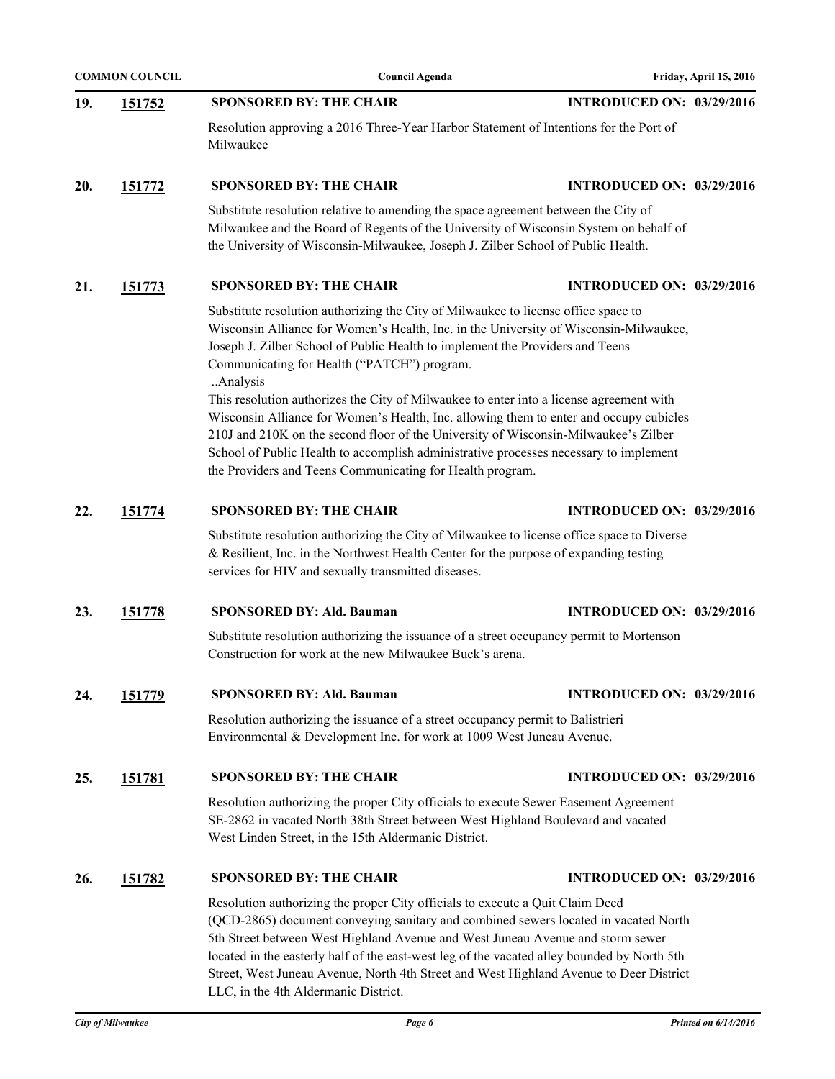| <b>COMMON COUNCIL</b> |               | <b>Council Agenda</b><br>Friday, April 15, 2016                                                                                                                                                                                                                                                                                                                                                                                                                                                                                                                                                                                                                                                                                                           |                                  |
|-----------------------|---------------|-----------------------------------------------------------------------------------------------------------------------------------------------------------------------------------------------------------------------------------------------------------------------------------------------------------------------------------------------------------------------------------------------------------------------------------------------------------------------------------------------------------------------------------------------------------------------------------------------------------------------------------------------------------------------------------------------------------------------------------------------------------|----------------------------------|
| 19.                   | <u>151752</u> | <b>SPONSORED BY: THE CHAIR</b>                                                                                                                                                                                                                                                                                                                                                                                                                                                                                                                                                                                                                                                                                                                            | <b>INTRODUCED ON: 03/29/2016</b> |
|                       |               | Resolution approving a 2016 Three-Year Harbor Statement of Intentions for the Port of<br>Milwaukee                                                                                                                                                                                                                                                                                                                                                                                                                                                                                                                                                                                                                                                        |                                  |
| 20.                   | <u>151772</u> | <b>SPONSORED BY: THE CHAIR</b>                                                                                                                                                                                                                                                                                                                                                                                                                                                                                                                                                                                                                                                                                                                            | <b>INTRODUCED ON: 03/29/2016</b> |
|                       |               | Substitute resolution relative to amending the space agreement between the City of<br>Milwaukee and the Board of Regents of the University of Wisconsin System on behalf of<br>the University of Wisconsin-Milwaukee, Joseph J. Zilber School of Public Health.                                                                                                                                                                                                                                                                                                                                                                                                                                                                                           |                                  |
| 21.                   | <u>151773</u> | <b>INTRODUCED ON: 03/29/2016</b>                                                                                                                                                                                                                                                                                                                                                                                                                                                                                                                                                                                                                                                                                                                          |                                  |
|                       |               | Substitute resolution authorizing the City of Milwaukee to license office space to<br>Wisconsin Alliance for Women's Health, Inc. in the University of Wisconsin-Milwaukee,<br>Joseph J. Zilber School of Public Health to implement the Providers and Teens<br>Communicating for Health ("PATCH") program.<br>Analysis<br>This resolution authorizes the City of Milwaukee to enter into a license agreement with<br>Wisconsin Alliance for Women's Health, Inc. allowing them to enter and occupy cubicles<br>210J and 210K on the second floor of the University of Wisconsin-Milwaukee's Zilber<br>School of Public Health to accomplish administrative processes necessary to implement<br>the Providers and Teens Communicating for Health program. |                                  |
| 22.                   | 151774        | <b>SPONSORED BY: THE CHAIR</b>                                                                                                                                                                                                                                                                                                                                                                                                                                                                                                                                                                                                                                                                                                                            | <b>INTRODUCED ON: 03/29/2016</b> |
|                       |               | Substitute resolution authorizing the City of Milwaukee to license office space to Diverse<br>& Resilient, Inc. in the Northwest Health Center for the purpose of expanding testing<br>services for HIV and sexually transmitted diseases.                                                                                                                                                                                                                                                                                                                                                                                                                                                                                                                |                                  |
| 23.                   | 151778        | <b>SPONSORED BY: Ald. Bauman</b>                                                                                                                                                                                                                                                                                                                                                                                                                                                                                                                                                                                                                                                                                                                          | <b>INTRODUCED ON: 03/29/2016</b> |
|                       |               | Substitute resolution authorizing the issuance of a street occupancy permit to Mortenson<br>Construction for work at the new Milwaukee Buck's arena.                                                                                                                                                                                                                                                                                                                                                                                                                                                                                                                                                                                                      |                                  |
| 24.                   | 151779        | <b>SPONSORED BY: Ald. Bauman</b>                                                                                                                                                                                                                                                                                                                                                                                                                                                                                                                                                                                                                                                                                                                          | <b>INTRODUCED ON: 03/29/2016</b> |
|                       |               | Resolution authorizing the issuance of a street occupancy permit to Balistrieri<br>Environmental & Development Inc. for work at 1009 West Juneau Avenue.                                                                                                                                                                                                                                                                                                                                                                                                                                                                                                                                                                                                  |                                  |
| 25.                   | <u>151781</u> | <b>SPONSORED BY: THE CHAIR</b>                                                                                                                                                                                                                                                                                                                                                                                                                                                                                                                                                                                                                                                                                                                            | <b>INTRODUCED ON: 03/29/2016</b> |
|                       |               | Resolution authorizing the proper City officials to execute Sewer Easement Agreement<br>SE-2862 in vacated North 38th Street between West Highland Boulevard and vacated<br>West Linden Street, in the 15th Aldermanic District.                                                                                                                                                                                                                                                                                                                                                                                                                                                                                                                          |                                  |
| 26.                   | 151782        | <b>SPONSORED BY: THE CHAIR</b>                                                                                                                                                                                                                                                                                                                                                                                                                                                                                                                                                                                                                                                                                                                            | <b>INTRODUCED ON: 03/29/2016</b> |
|                       |               | Resolution authorizing the proper City officials to execute a Quit Claim Deed<br>(QCD-2865) document conveying sanitary and combined sewers located in vacated North<br>5th Street between West Highland Avenue and West Juneau Avenue and storm sewer<br>located in the easterly half of the east-west leg of the vacated alley bounded by North 5th<br>Street, West Juneau Avenue, North 4th Street and West Highland Avenue to Deer District<br>LLC, in the 4th Aldermanic District.                                                                                                                                                                                                                                                                   |                                  |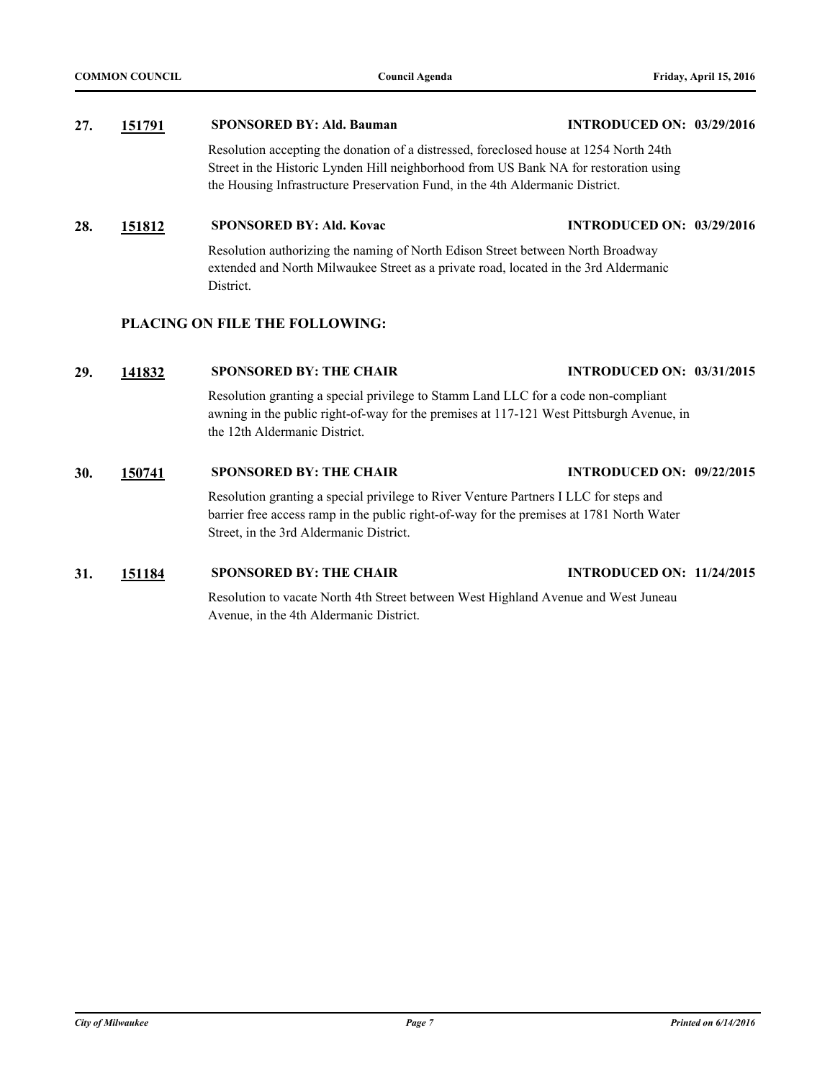## **27. [151791](http://milwaukee.legistar.com/gateway.aspx?m=l&id=43503) SPONSORED BY: Ald. Bauman INTRODUCED ON: 03/29/2016**

Resolution accepting the donation of a distressed, foreclosed house at 1254 North 24th Street in the Historic Lynden Hill neighborhood from US Bank NA for restoration using the Housing Infrastructure Preservation Fund, in the 4th Aldermanic District.

## **28. [151812](http://milwaukee.legistar.com/gateway.aspx?m=l&id=43529) SPONSORED BY: Ald. Kovac INTRODUCED ON: 03/29/2016**

Resolution authorizing the naming of North Edison Street between North Broadway extended and North Milwaukee Street as a private road, located in the 3rd Aldermanic District.

## **PLACING ON FILE THE FOLLOWING:**

#### **29. [141832](http://milwaukee.legistar.com/gateway.aspx?m=l&id=41284) SPONSORED BY: THE CHAIR INTRODUCED ON: 03/31/2015**

Resolution granting a special privilege to Stamm Land LLC for a code non-compliant awning in the public right-of-way for the premises at 117-121 West Pittsburgh Avenue, in the 12th Aldermanic District.

### **30. [150741](http://milwaukee.legistar.com/gateway.aspx?m=l&id=42266) SPONSORED BY: THE CHAIR INTRODUCED ON: 09/22/2015**

Resolution granting a special privilege to River Venture Partners I LLC for steps and barrier free access ramp in the public right-of-way for the premises at 1781 North Water Street, in the 3rd Aldermanic District.

## **31. [151184](http://milwaukee.legistar.com/gateway.aspx?m=l&id=42755) SPONSORED BY: THE CHAIR INTRODUCED ON: 11/24/2015**

Resolution to vacate North 4th Street between West Highland Avenue and West Juneau Avenue, in the 4th Aldermanic District.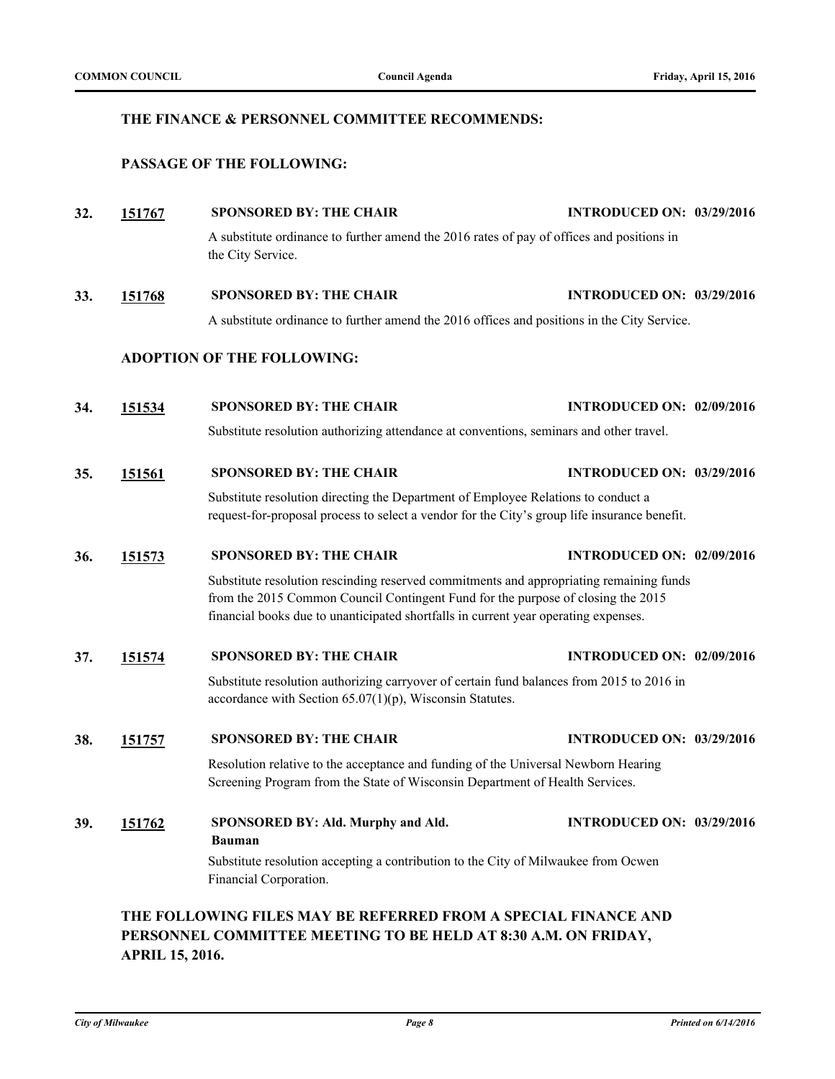## **THE FINANCE & PERSONNEL COMMITTEE RECOMMENDS:**

## **PASSAGE OF THE FOLLOWING:**

**32. [151767](http://milwaukee.legistar.com/gateway.aspx?m=l&id=43479) SPONSORED BY: THE CHAIR INTRODUCED ON: 03/29/2016** A substitute ordinance to further amend the 2016 rates of pay of offices and positions in the City Service. **33. [151768](http://milwaukee.legistar.com/gateway.aspx?m=l&id=43480) SPONSORED BY: THE CHAIR INTRODUCED ON: 03/29/2016**

A substitute ordinance to further amend the 2016 offices and positions in the City Service.

## **ADOPTION OF THE FOLLOWING:**

**34. [151534](http://milwaukee.legistar.com/gateway.aspx?m=l&id=43173) SPONSORED BY: THE CHAIR INTRODUCED ON: 02/09/2016**

Substitute resolution authorizing attendance at conventions, seminars and other travel.

**35. [151561](http://milwaukee.legistar.com/gateway.aspx?m=l&id=43201) SPONSORED BY: THE CHAIR INTRODUCED ON: 03/29/2016**

Substitute resolution directing the Department of Employee Relations to conduct a request-for-proposal process to select a vendor for the City's group life insurance benefit.

## **36. [151573](http://milwaukee.legistar.com/gateway.aspx?m=l&id=43218) SPONSORED BY: THE CHAIR INTRODUCED ON: 02/09/2016**

Substitute resolution rescinding reserved commitments and appropriating remaining funds from the 2015 Common Council Contingent Fund for the purpose of closing the 2015 financial books due to unanticipated shortfalls in current year operating expenses.

#### **37. [151574](http://milwaukee.legistar.com/gateway.aspx?m=l&id=43219) SPONSORED BY: THE CHAIR INTRODUCED ON: 02/09/2016**

Substitute resolution authorizing carryover of certain fund balances from 2015 to 2016 in accordance with Section 65.07(1)(p), Wisconsin Statutes.

## **38. [151757](http://milwaukee.legistar.com/gateway.aspx?m=l&id=43469) SPONSORED BY: THE CHAIR INTRODUCED ON: 03/29/2016**

Resolution relative to the acceptance and funding of the Universal Newborn Hearing Screening Program from the State of Wisconsin Department of Health Services.

**39. [151762](http://milwaukee.legistar.com/gateway.aspx?m=l&id=43474) SPONSORED BY: Ald. Murphy and Ald. Bauman INTRODUCED ON: 03/29/2016** Substitute resolution accepting a contribution to the City of Milwaukee from Ocwen Financial Corporation.

## **THE FOLLOWING FILES MAY BE REFERRED FROM A SPECIAL FINANCE AND PERSONNEL COMMITTEE MEETING TO BE HELD AT 8:30 A.M. ON FRIDAY, APRIL 15, 2016.**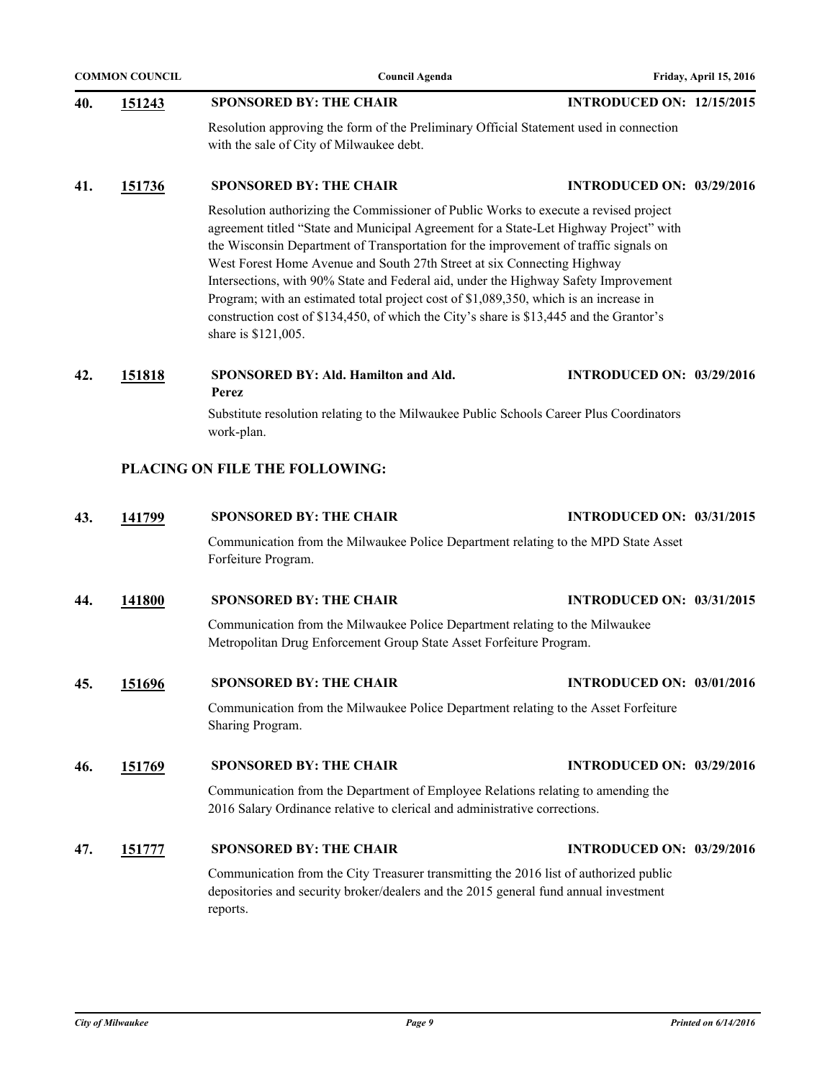|     | <b>COMMON COUNCIL</b> | <b>Council Agenda</b>                                                                                                                                                                                                                                                                                                                                                                                                                                                                                                                                                                                                                              |                                  | Friday, April 15, 2016 |
|-----|-----------------------|----------------------------------------------------------------------------------------------------------------------------------------------------------------------------------------------------------------------------------------------------------------------------------------------------------------------------------------------------------------------------------------------------------------------------------------------------------------------------------------------------------------------------------------------------------------------------------------------------------------------------------------------------|----------------------------------|------------------------|
| 40. | 151243                | <b>SPONSORED BY: THE CHAIR</b>                                                                                                                                                                                                                                                                                                                                                                                                                                                                                                                                                                                                                     | <b>INTRODUCED ON: 12/15/2015</b> |                        |
|     |                       | Resolution approving the form of the Preliminary Official Statement used in connection<br>with the sale of City of Milwaukee debt.                                                                                                                                                                                                                                                                                                                                                                                                                                                                                                                 |                                  |                        |
| 41. | 151736                | <b>SPONSORED BY: THE CHAIR</b>                                                                                                                                                                                                                                                                                                                                                                                                                                                                                                                                                                                                                     | <b>INTRODUCED ON: 03/29/2016</b> |                        |
|     |                       | Resolution authorizing the Commissioner of Public Works to execute a revised project<br>agreement titled "State and Municipal Agreement for a State-Let Highway Project" with<br>the Wisconsin Department of Transportation for the improvement of traffic signals on<br>West Forest Home Avenue and South 27th Street at six Connecting Highway<br>Intersections, with 90% State and Federal aid, under the Highway Safety Improvement<br>Program; with an estimated total project cost of \$1,089,350, which is an increase in<br>construction cost of \$134,450, of which the City's share is \$13,445 and the Grantor's<br>share is \$121,005. |                                  |                        |
| 42. | 151818                | SPONSORED BY: Ald. Hamilton and Ald.<br>Perez                                                                                                                                                                                                                                                                                                                                                                                                                                                                                                                                                                                                      | <b>INTRODUCED ON: 03/29/2016</b> |                        |
|     |                       | Substitute resolution relating to the Milwaukee Public Schools Career Plus Coordinators<br>work-plan.                                                                                                                                                                                                                                                                                                                                                                                                                                                                                                                                              |                                  |                        |
|     |                       | PLACING ON FILE THE FOLLOWING:                                                                                                                                                                                                                                                                                                                                                                                                                                                                                                                                                                                                                     |                                  |                        |
| 43. | 141799                | <b>SPONSORED BY: THE CHAIR</b>                                                                                                                                                                                                                                                                                                                                                                                                                                                                                                                                                                                                                     | <b>INTRODUCED ON: 03/31/2015</b> |                        |
|     |                       | Communication from the Milwaukee Police Department relating to the MPD State Asset<br>Forfeiture Program.                                                                                                                                                                                                                                                                                                                                                                                                                                                                                                                                          |                                  |                        |
| 44. | 141800                | <b>SPONSORED BY: THE CHAIR</b>                                                                                                                                                                                                                                                                                                                                                                                                                                                                                                                                                                                                                     | <b>INTRODUCED ON: 03/31/2015</b> |                        |
|     |                       | Communication from the Milwaukee Police Department relating to the Milwaukee<br>Metropolitan Drug Enforcement Group State Asset Forfeiture Program.                                                                                                                                                                                                                                                                                                                                                                                                                                                                                                |                                  |                        |
| 45. | 151696                | <b>SPONSORED BY: THE CHAIR</b>                                                                                                                                                                                                                                                                                                                                                                                                                                                                                                                                                                                                                     | <b>INTRODUCED ON: 03/01/2016</b> |                        |
|     |                       | Communication from the Milwaukee Police Department relating to the Asset Forfeiture<br>Sharing Program.                                                                                                                                                                                                                                                                                                                                                                                                                                                                                                                                            |                                  |                        |
| 46. | 151769                | <b>SPONSORED BY: THE CHAIR</b>                                                                                                                                                                                                                                                                                                                                                                                                                                                                                                                                                                                                                     | <b>INTRODUCED ON: 03/29/2016</b> |                        |
|     |                       | Communication from the Department of Employee Relations relating to amending the<br>2016 Salary Ordinance relative to clerical and administrative corrections.                                                                                                                                                                                                                                                                                                                                                                                                                                                                                     |                                  |                        |
| 47. | 151777                | <b>SPONSORED BY: THE CHAIR</b>                                                                                                                                                                                                                                                                                                                                                                                                                                                                                                                                                                                                                     | <b>INTRODUCED ON: 03/29/2016</b> |                        |
|     |                       | Communication from the City Treasurer transmitting the 2016 list of authorized public<br>depositories and security broker/dealers and the 2015 general fund annual investment<br>reports.                                                                                                                                                                                                                                                                                                                                                                                                                                                          |                                  |                        |
|     |                       |                                                                                                                                                                                                                                                                                                                                                                                                                                                                                                                                                                                                                                                    |                                  |                        |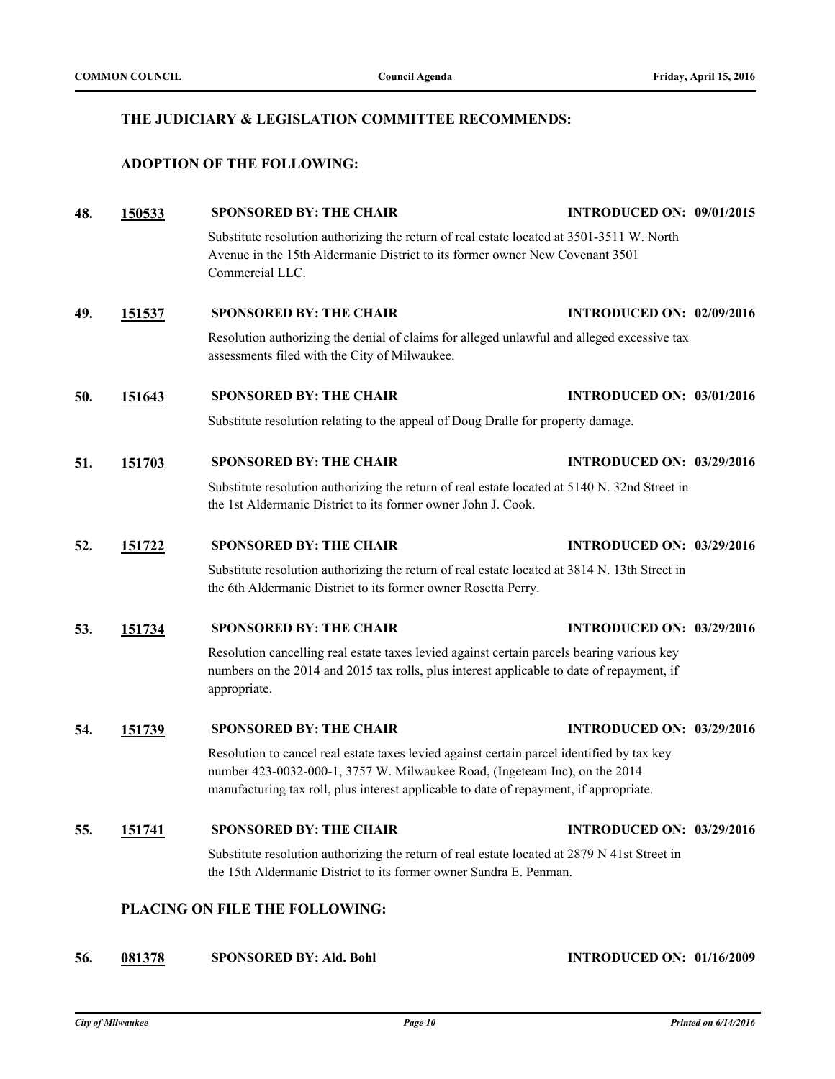## **THE JUDICIARY & LEGISLATION COMMITTEE RECOMMENDS:**

## **ADOPTION OF THE FOLLOWING:**

| 48. | 150533 | <b>SPONSORED BY: THE CHAIR</b>                                                                                                                                                                                                                                     | <b>INTRODUCED ON: 09/01/2015</b> |  |
|-----|--------|--------------------------------------------------------------------------------------------------------------------------------------------------------------------------------------------------------------------------------------------------------------------|----------------------------------|--|
|     |        | Substitute resolution authorizing the return of real estate located at 3501-3511 W. North<br>Avenue in the 15th Aldermanic District to its former owner New Covenant 3501<br>Commercial LLC.                                                                       |                                  |  |
| 49. | 151537 | <b>SPONSORED BY: THE CHAIR</b>                                                                                                                                                                                                                                     | <b>INTRODUCED ON: 02/09/2016</b> |  |
|     |        | Resolution authorizing the denial of claims for alleged unlawful and alleged excessive tax<br>assessments filed with the City of Milwaukee.                                                                                                                        |                                  |  |
| 50. | 151643 | <b>SPONSORED BY: THE CHAIR</b>                                                                                                                                                                                                                                     | <b>INTRODUCED ON: 03/01/2016</b> |  |
|     |        | Substitute resolution relating to the appeal of Doug Dralle for property damage.                                                                                                                                                                                   |                                  |  |
| 51. | 151703 | <b>SPONSORED BY: THE CHAIR</b>                                                                                                                                                                                                                                     | <b>INTRODUCED ON: 03/29/2016</b> |  |
|     |        | Substitute resolution authorizing the return of real estate located at 5140 N. 32nd Street in<br>the 1st Aldermanic District to its former owner John J. Cook.                                                                                                     |                                  |  |
| 52. | 151722 | <b>SPONSORED BY: THE CHAIR</b>                                                                                                                                                                                                                                     | <b>INTRODUCED ON: 03/29/2016</b> |  |
|     |        | Substitute resolution authorizing the return of real estate located at 3814 N. 13th Street in<br>the 6th Aldermanic District to its former owner Rosetta Perry.                                                                                                    |                                  |  |
| 53. | 151734 | <b>SPONSORED BY: THE CHAIR</b>                                                                                                                                                                                                                                     | <b>INTRODUCED ON: 03/29/2016</b> |  |
|     |        | Resolution cancelling real estate taxes levied against certain parcels bearing various key<br>numbers on the 2014 and 2015 tax rolls, plus interest applicable to date of repayment, if<br>appropriate.                                                            |                                  |  |
| 54. | 151739 | <b>SPONSORED BY: THE CHAIR</b>                                                                                                                                                                                                                                     | <b>INTRODUCED ON: 03/29/2016</b> |  |
|     |        | Resolution to cancel real estate taxes levied against certain parcel identified by tax key<br>number 423-0032-000-1, 3757 W. Milwaukee Road, (Ingeteam Inc), on the 2014<br>manufacturing tax roll, plus interest applicable to date of repayment, if appropriate. |                                  |  |
| 55. | 151741 | <b>SPONSORED BY: THE CHAIR</b>                                                                                                                                                                                                                                     | <b>INTRODUCED ON: 03/29/2016</b> |  |
|     |        | Substitute resolution authorizing the return of real estate located at 2879 N 41st Street in<br>the 15th Aldermanic District to its former owner Sandra E. Penman.                                                                                                 |                                  |  |
|     |        | PLACING ON FILE THE FOLLOWING:                                                                                                                                                                                                                                     |                                  |  |

## **56. [081378](http://milwaukee.legistar.com/gateway.aspx?m=l&id=28737) SPONSORED BY: Ald. Bohl INTRODUCED ON: 01/16/2009**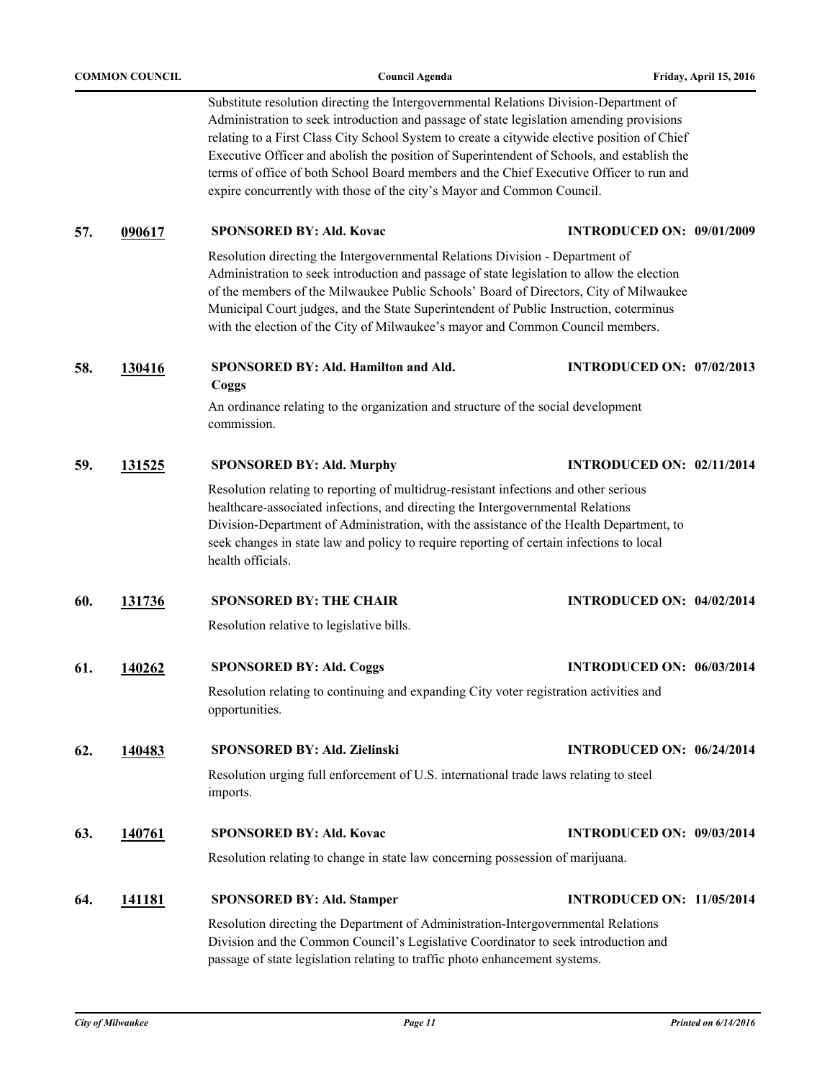| <b>COMMON COUNCIL</b> |               | <b>Council Agenda</b>                                                                                                                                                                                                                                                                                                                                                                                                                                                                                                                                 | Friday, April 15, 2016           |
|-----------------------|---------------|-------------------------------------------------------------------------------------------------------------------------------------------------------------------------------------------------------------------------------------------------------------------------------------------------------------------------------------------------------------------------------------------------------------------------------------------------------------------------------------------------------------------------------------------------------|----------------------------------|
|                       |               | Substitute resolution directing the Intergovernmental Relations Division-Department of<br>Administration to seek introduction and passage of state legislation amending provisions<br>relating to a First Class City School System to create a citywide elective position of Chief<br>Executive Officer and abolish the position of Superintendent of Schools, and establish the<br>terms of office of both School Board members and the Chief Executive Officer to run and<br>expire concurrently with those of the city's Mayor and Common Council. |                                  |
| 57.                   | 090617        | <b>SPONSORED BY: Ald. Kovac</b>                                                                                                                                                                                                                                                                                                                                                                                                                                                                                                                       | <b>INTRODUCED ON: 09/01/2009</b> |
|                       |               | Resolution directing the Intergovernmental Relations Division - Department of<br>Administration to seek introduction and passage of state legislation to allow the election<br>of the members of the Milwaukee Public Schools' Board of Directors, City of Milwaukee<br>Municipal Court judges, and the State Superintendent of Public Instruction, coterminus<br>with the election of the City of Milwaukee's mayor and Common Council members.                                                                                                      |                                  |
| 58.                   | 130416        | SPONSORED BY: Ald. Hamilton and Ald.<br>Coggs                                                                                                                                                                                                                                                                                                                                                                                                                                                                                                         | <b>INTRODUCED ON: 07/02/2013</b> |
|                       |               | An ordinance relating to the organization and structure of the social development<br>commission.                                                                                                                                                                                                                                                                                                                                                                                                                                                      |                                  |
| 59.                   | 131525        | <b>SPONSORED BY: Ald. Murphy</b>                                                                                                                                                                                                                                                                                                                                                                                                                                                                                                                      | <b>INTRODUCED ON: 02/11/2014</b> |
|                       |               | Resolution relating to reporting of multidrug-resistant infections and other serious<br>healthcare-associated infections, and directing the Intergovernmental Relations<br>Division-Department of Administration, with the assistance of the Health Department, to<br>seek changes in state law and policy to require reporting of certain infections to local<br>health officials.                                                                                                                                                                   |                                  |
| 60.                   | <u>131736</u> | <b>SPONSORED BY: THE CHAIR</b>                                                                                                                                                                                                                                                                                                                                                                                                                                                                                                                        | <b>INTRODUCED ON: 04/02/2014</b> |
|                       |               | Resolution relative to legislative bills.                                                                                                                                                                                                                                                                                                                                                                                                                                                                                                             |                                  |
| 61.                   | 140262        | <b>SPONSORED BY: Ald. Coggs</b>                                                                                                                                                                                                                                                                                                                                                                                                                                                                                                                       | <b>INTRODUCED ON: 06/03/2014</b> |
|                       |               | Resolution relating to continuing and expanding City voter registration activities and<br>opportunities.                                                                                                                                                                                                                                                                                                                                                                                                                                              |                                  |
| 62.                   | 140483        | SPONSORED BY: Ald. Zielinski                                                                                                                                                                                                                                                                                                                                                                                                                                                                                                                          | <b>INTRODUCED ON: 06/24/2014</b> |
|                       |               | Resolution urging full enforcement of U.S. international trade laws relating to steel<br>imports.                                                                                                                                                                                                                                                                                                                                                                                                                                                     |                                  |
| 63.                   | 140761        | <b>SPONSORED BY: Ald. Kovac</b>                                                                                                                                                                                                                                                                                                                                                                                                                                                                                                                       | <b>INTRODUCED ON: 09/03/2014</b> |
|                       |               | Resolution relating to change in state law concerning possession of marijuana.                                                                                                                                                                                                                                                                                                                                                                                                                                                                        |                                  |
| 64.                   | <u>141181</u> | <b>SPONSORED BY: Ald. Stamper</b>                                                                                                                                                                                                                                                                                                                                                                                                                                                                                                                     | <b>INTRODUCED ON: 11/05/2014</b> |
|                       |               | Resolution directing the Department of Administration-Intergovernmental Relations<br>Division and the Common Council's Legislative Coordinator to seek introduction and<br>passage of state legislation relating to traffic photo enhancement systems.                                                                                                                                                                                                                                                                                                |                                  |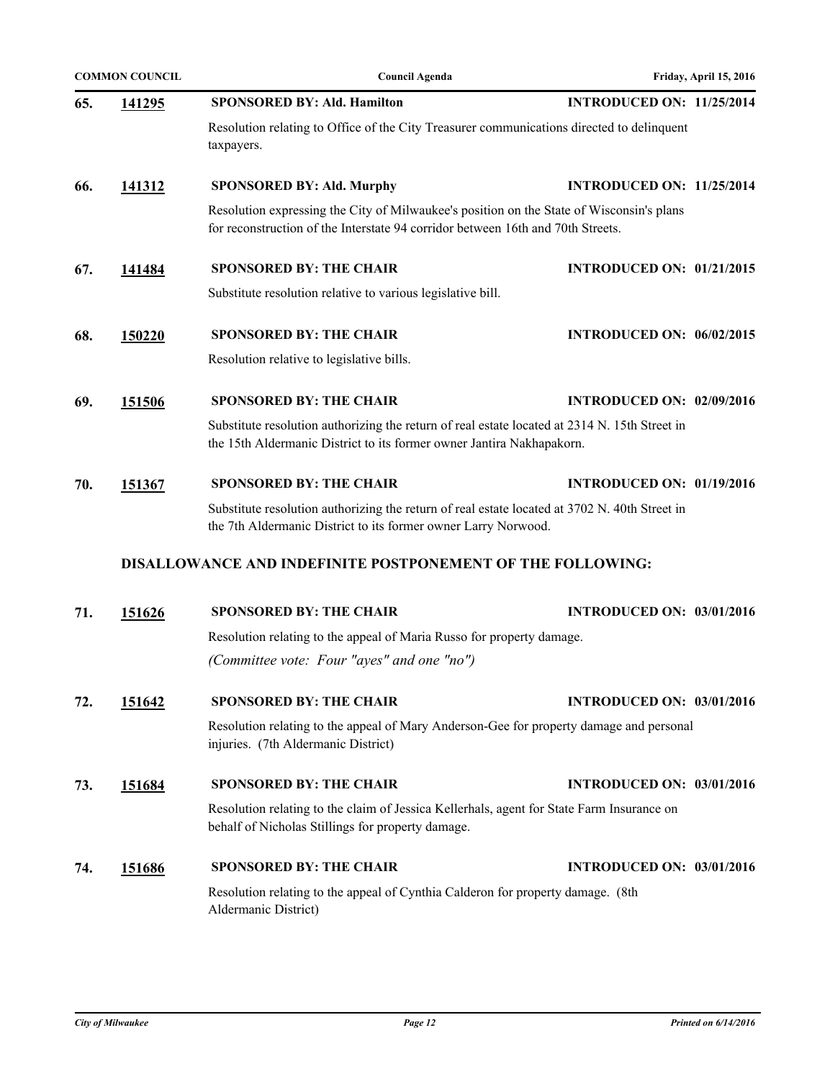|     | <b>COMMON COUNCIL</b> | <b>Council Agenda</b>                                                                                                                                                       | Friday, April 15, 2016           |
|-----|-----------------------|-----------------------------------------------------------------------------------------------------------------------------------------------------------------------------|----------------------------------|
| 65. | 141295                | <b>SPONSORED BY: Ald. Hamilton</b>                                                                                                                                          | <b>INTRODUCED ON: 11/25/2014</b> |
|     |                       | Resolution relating to Office of the City Treasurer communications directed to delinquent<br>taxpayers.                                                                     |                                  |
| 66. | 141312                | <b>SPONSORED BY: Ald. Murphy</b>                                                                                                                                            | <b>INTRODUCED ON: 11/25/2014</b> |
|     |                       | Resolution expressing the City of Milwaukee's position on the State of Wisconsin's plans<br>for reconstruction of the Interstate 94 corridor between 16th and 70th Streets. |                                  |
| 67. | 141484                | <b>SPONSORED BY: THE CHAIR</b>                                                                                                                                              | <b>INTRODUCED ON: 01/21/2015</b> |
|     |                       | Substitute resolution relative to various legislative bill.                                                                                                                 |                                  |
| 68. | 150220                | <b>SPONSORED BY: THE CHAIR</b>                                                                                                                                              | <b>INTRODUCED ON: 06/02/2015</b> |
|     |                       | Resolution relative to legislative bills.                                                                                                                                   |                                  |
| 69. | 151506                | <b>SPONSORED BY: THE CHAIR</b>                                                                                                                                              | <b>INTRODUCED ON: 02/09/2016</b> |
|     |                       | Substitute resolution authorizing the return of real estate located at 2314 N. 15th Street in<br>the 15th Aldermanic District to its former owner Jantira Nakhapakorn.      |                                  |
| 70. | 151367                | <b>SPONSORED BY: THE CHAIR</b>                                                                                                                                              | <b>INTRODUCED ON: 01/19/2016</b> |
|     |                       | Substitute resolution authorizing the return of real estate located at 3702 N. 40th Street in<br>the 7th Aldermanic District to its former owner Larry Norwood.             |                                  |
|     |                       | DISALLOWANCE AND INDEFINITE POSTPONEMENT OF THE FOLLOWING:                                                                                                                  |                                  |
| 71. | 151626                | <b>SPONSORED BY: THE CHAIR</b>                                                                                                                                              | <b>INTRODUCED ON: 03/01/2016</b> |
|     |                       | Resolution relating to the appeal of Maria Russo for property damage.                                                                                                       |                                  |
|     |                       | (Committee vote: Four "ayes" and one "no")                                                                                                                                  |                                  |
| 72. | 151642                | <b>SPONSORED BY: THE CHAIR</b>                                                                                                                                              | <b>INTRODUCED ON: 03/01/2016</b> |
|     |                       | Resolution relating to the appeal of Mary Anderson-Gee for property damage and personal<br>injuries. (7th Aldermanic District)                                              |                                  |
| 73. | 151684                | <b>SPONSORED BY: THE CHAIR</b>                                                                                                                                              | <b>INTRODUCED ON: 03/01/2016</b> |
|     |                       | Resolution relating to the claim of Jessica Kellerhals, agent for State Farm Insurance on<br>behalf of Nicholas Stillings for property damage.                              |                                  |
| 74. | 151686                | <b>SPONSORED BY: THE CHAIR</b>                                                                                                                                              | <b>INTRODUCED ON: 03/01/2016</b> |
|     |                       | Resolution relating to the appeal of Cynthia Calderon for property damage. (8th<br>Aldermanic District)                                                                     |                                  |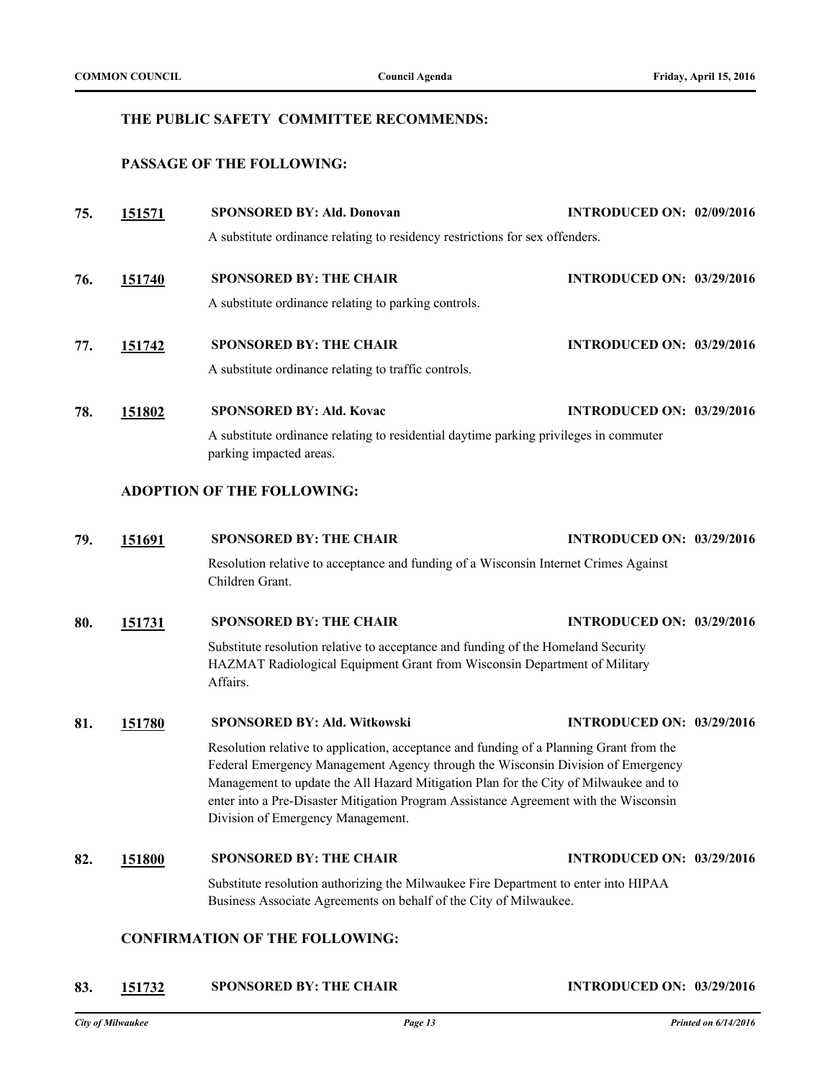## **THE PUBLIC SAFETY COMMITTEE RECOMMENDS:**

## **PASSAGE OF THE FOLLOWING:**

| 75. | 151571        | <b>SPONSORED BY: Ald. Donovan</b>                                                                                                                                                                                                                                                                                                                                                               | <b>INTRODUCED ON: 02/09/2016</b> |  |
|-----|---------------|-------------------------------------------------------------------------------------------------------------------------------------------------------------------------------------------------------------------------------------------------------------------------------------------------------------------------------------------------------------------------------------------------|----------------------------------|--|
|     |               | A substitute ordinance relating to residency restrictions for sex offenders.                                                                                                                                                                                                                                                                                                                    |                                  |  |
| 76. | 151740        | <b>SPONSORED BY: THE CHAIR</b>                                                                                                                                                                                                                                                                                                                                                                  | <b>INTRODUCED ON: 03/29/2016</b> |  |
|     |               | A substitute ordinance relating to parking controls.                                                                                                                                                                                                                                                                                                                                            |                                  |  |
| 77. | 151742        | <b>SPONSORED BY: THE CHAIR</b>                                                                                                                                                                                                                                                                                                                                                                  | <b>INTRODUCED ON: 03/29/2016</b> |  |
|     |               | A substitute ordinance relating to traffic controls.                                                                                                                                                                                                                                                                                                                                            |                                  |  |
| 78. | 151802        | <b>SPONSORED BY: Ald. Kovac</b>                                                                                                                                                                                                                                                                                                                                                                 | <b>INTRODUCED ON: 03/29/2016</b> |  |
|     |               | A substitute ordinance relating to residential daytime parking privileges in commuter<br>parking impacted areas.                                                                                                                                                                                                                                                                                |                                  |  |
|     |               | <b>ADOPTION OF THE FOLLOWING:</b>                                                                                                                                                                                                                                                                                                                                                               |                                  |  |
| 79. | 151691        | <b>SPONSORED BY: THE CHAIR</b>                                                                                                                                                                                                                                                                                                                                                                  | <b>INTRODUCED ON: 03/29/2016</b> |  |
|     |               | Resolution relative to acceptance and funding of a Wisconsin Internet Crimes Against<br>Children Grant.                                                                                                                                                                                                                                                                                         |                                  |  |
| 80. | 151731        | <b>SPONSORED BY: THE CHAIR</b>                                                                                                                                                                                                                                                                                                                                                                  | <b>INTRODUCED ON: 03/29/2016</b> |  |
|     |               | Substitute resolution relative to acceptance and funding of the Homeland Security<br>HAZMAT Radiological Equipment Grant from Wisconsin Department of Military<br>Affairs.                                                                                                                                                                                                                      |                                  |  |
| 81. | 151780        | SPONSORED BY: Ald. Witkowski                                                                                                                                                                                                                                                                                                                                                                    | <b>INTRODUCED ON: 03/29/2016</b> |  |
|     |               | Resolution relative to application, acceptance and funding of a Planning Grant from the<br>Federal Emergency Management Agency through the Wisconsin Division of Emergency<br>Management to update the All Hazard Mitigation Plan for the City of Milwaukee and to<br>enter into a Pre-Disaster Mitigation Program Assistance Agreement with the Wisconsin<br>Division of Emergency Management. |                                  |  |
| 82. | <u>151800</u> | <b>SPONSORED BY: THE CHAIR</b>                                                                                                                                                                                                                                                                                                                                                                  | <b>INTRODUCED ON: 03/29/2016</b> |  |
|     |               | Substitute resolution authorizing the Milwaukee Fire Department to enter into HIPAA<br>Business Associate Agreements on behalf of the City of Milwaukee.                                                                                                                                                                                                                                        |                                  |  |
|     |               | <b>CONFIRMATION OF THE FOLLOWING:</b>                                                                                                                                                                                                                                                                                                                                                           |                                  |  |

# **83. [151732](http://milwaukee.legistar.com/gateway.aspx?m=l&id=43442) SPONSORED BY: THE CHAIR INTRODUCED ON: 03/29/2016**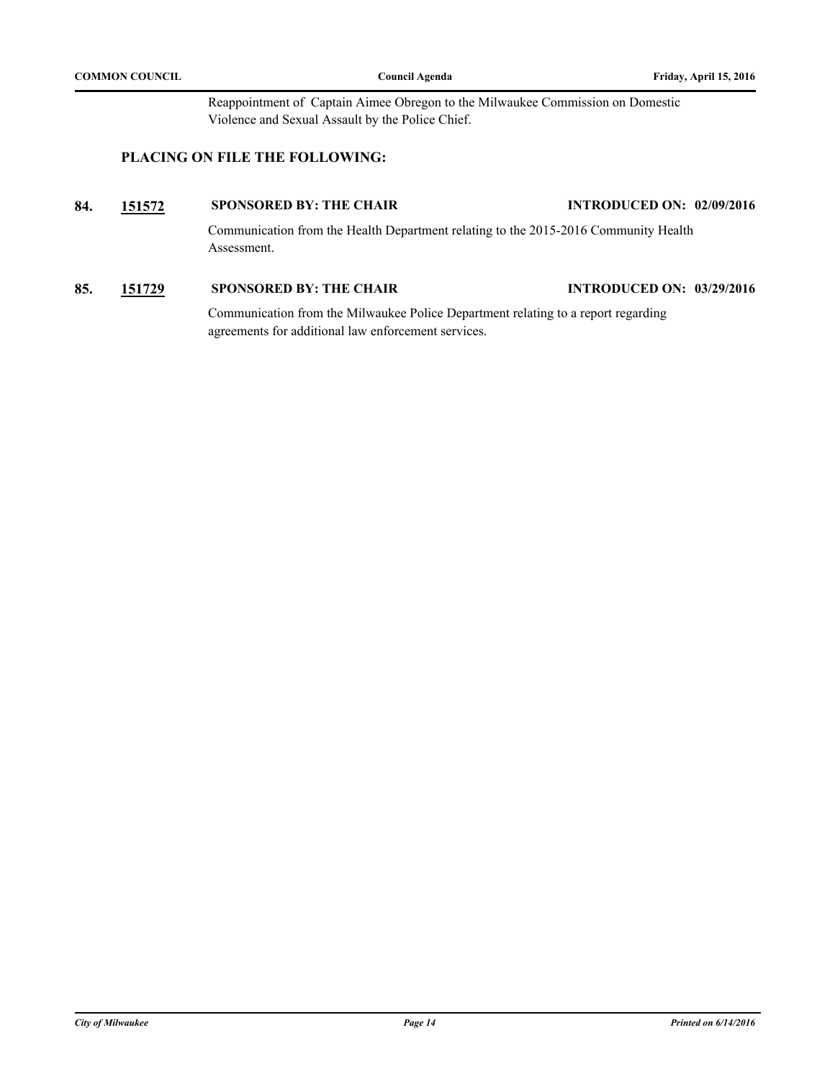Reappointment of Captain Aimee Obregon to the Milwaukee Commission on Domestic Violence and Sexual Assault by the Police Chief.

## **PLACING ON FILE THE FOLLOWING:**

## **84. [151572](http://milwaukee.legistar.com/gateway.aspx?m=l&id=43217) SPONSORED BY: THE CHAIR INTRODUCED ON: 02/09/2016**

Communication from the Health Department relating to the 2015-2016 Community Health Assessment.

## **85. [151729](http://milwaukee.legistar.com/gateway.aspx?m=l&id=43439) SPONSORED BY: THE CHAIR INTRODUCED ON: 03/29/2016**

Communication from the Milwaukee Police Department relating to a report regarding agreements for additional law enforcement services.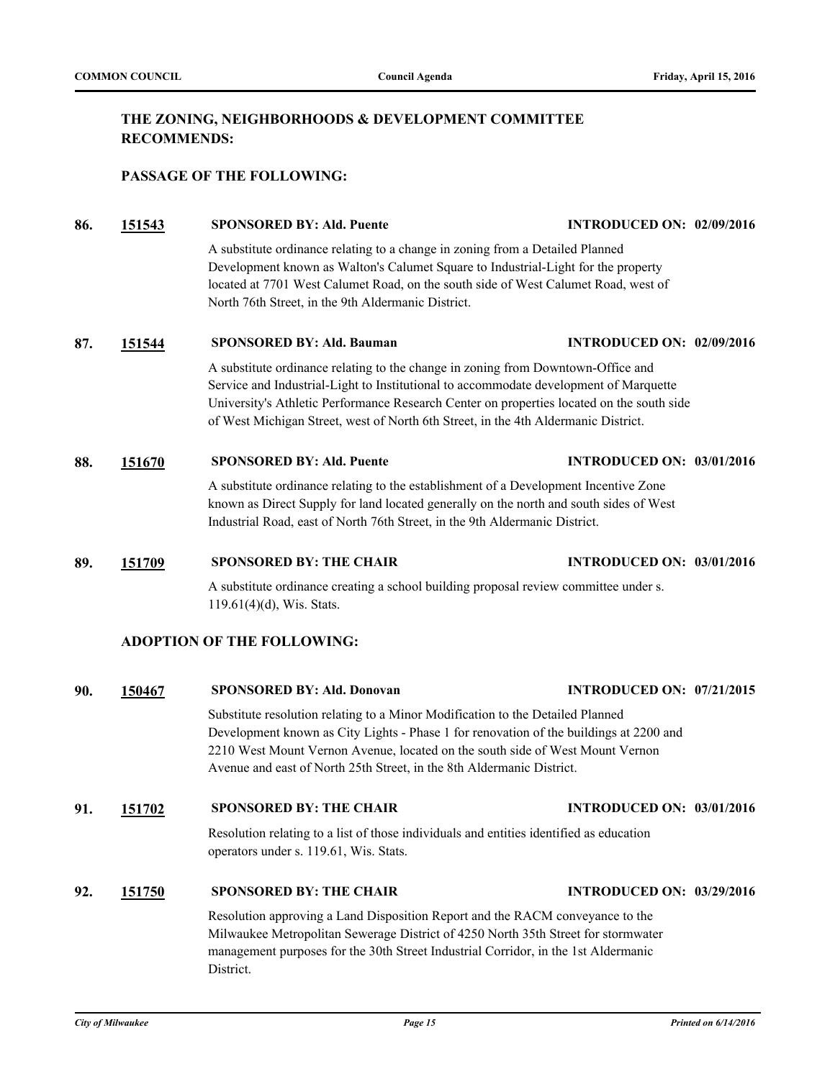## **THE ZONING, NEIGHBORHOODS & DEVELOPMENT COMMITTEE RECOMMENDS:**

## **PASSAGE OF THE FOLLOWING:**

**86. [151543](http://milwaukee.legistar.com/gateway.aspx?m=l&id=43182) SPONSORED BY: Ald. Puente INTRODUCED ON: 02/09/2016**

A substitute ordinance relating to a change in zoning from a Detailed Planned Development known as Walton's Calumet Square to Industrial-Light for the property located at 7701 West Calumet Road, on the south side of West Calumet Road, west of North 76th Street, in the 9th Aldermanic District.

#### **87. [151544](http://milwaukee.legistar.com/gateway.aspx?m=l&id=43183) SPONSORED BY: Ald. Bauman INTRODUCED ON: 02/09/2016**

A substitute ordinance relating to the change in zoning from Downtown-Office and Service and Industrial-Light to Institutional to accommodate development of Marquette University's Athletic Performance Research Center on properties located on the south side of West Michigan Street, west of North 6th Street, in the 4th Aldermanic District.

#### **88. [151670](http://milwaukee.legistar.com/gateway.aspx?m=l&id=43360) SPONSORED BY: Ald. Puente INTRODUCED ON: 03/01/2016**

A substitute ordinance relating to the establishment of a Development Incentive Zone known as Direct Supply for land located generally on the north and south sides of West Industrial Road, east of North 76th Street, in the 9th Aldermanic District.

### **89. [151709](http://milwaukee.legistar.com/gateway.aspx?m=l&id=43408) SPONSORED BY: THE CHAIR INTRODUCED ON: 03/01/2016**

A substitute ordinance creating a school building proposal review committee under s. 119.61(4)(d), Wis. Stats.

## **ADOPTION OF THE FOLLOWING:**

#### **90. [150467](http://milwaukee.legistar.com/gateway.aspx?m=l&id=41918) SPONSORED BY: Ald. Donovan INTRODUCED ON: 07/21/2015**

Substitute resolution relating to a Minor Modification to the Detailed Planned Development known as City Lights - Phase 1 for renovation of the buildings at 2200 and 2210 West Mount Vernon Avenue, located on the south side of West Mount Vernon Avenue and east of North 25th Street, in the 8th Aldermanic District.

## **91. [151702](http://milwaukee.legistar.com/gateway.aspx?m=l&id=43399) SPONSORED BY: THE CHAIR INTRODUCED ON: 03/01/2016**

Resolution relating to a list of those individuals and entities identified as education operators under s. 119.61, Wis. Stats.

## **92. [151750](http://milwaukee.legistar.com/gateway.aspx?m=l&id=43462) SPONSORED BY: THE CHAIR INTRODUCED ON: 03/29/2016**

Resolution approving a Land Disposition Report and the RACM conveyance to the Milwaukee Metropolitan Sewerage District of 4250 North 35th Street for stormwater management purposes for the 30th Street Industrial Corridor, in the 1st Aldermanic District.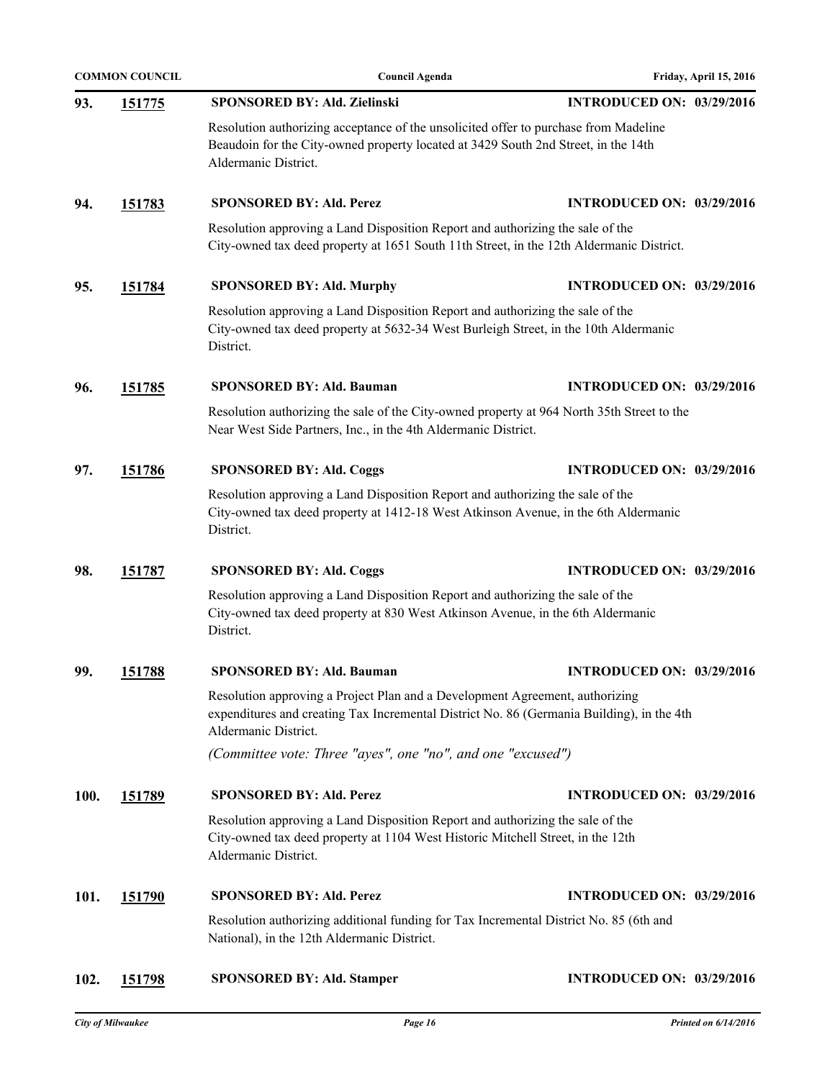|      | <b>COMMON COUNCIL</b> | <b>Council Agenda</b>                                                                                                                                                                              | Friday, April 15, 2016           |
|------|-----------------------|----------------------------------------------------------------------------------------------------------------------------------------------------------------------------------------------------|----------------------------------|
| 93.  | <u>151775</u>         | <b>SPONSORED BY: Ald. Zielinski</b>                                                                                                                                                                | <b>INTRODUCED ON: 03/29/2016</b> |
|      |                       | Resolution authorizing acceptance of the unsolicited offer to purchase from Madeline<br>Beaudoin for the City-owned property located at 3429 South 2nd Street, in the 14th<br>Aldermanic District. |                                  |
| 94.  | 151783                | <b>SPONSORED BY: Ald. Perez</b>                                                                                                                                                                    | <b>INTRODUCED ON: 03/29/2016</b> |
|      |                       | Resolution approving a Land Disposition Report and authorizing the sale of the<br>City-owned tax deed property at 1651 South 11th Street, in the 12th Aldermanic District.                         |                                  |
| 95.  | 151784                | <b>SPONSORED BY: Ald. Murphy</b>                                                                                                                                                                   | <b>INTRODUCED ON: 03/29/2016</b> |
|      |                       | Resolution approving a Land Disposition Report and authorizing the sale of the<br>City-owned tax deed property at 5632-34 West Burleigh Street, in the 10th Aldermanic<br>District.                |                                  |
| 96.  | 151785                | <b>SPONSORED BY: Ald. Bauman</b>                                                                                                                                                                   | <b>INTRODUCED ON: 03/29/2016</b> |
|      |                       | Resolution authorizing the sale of the City-owned property at 964 North 35th Street to the<br>Near West Side Partners, Inc., in the 4th Aldermanic District.                                       |                                  |
| 97.  | 151786                | <b>SPONSORED BY: Ald. Coggs</b>                                                                                                                                                                    | <b>INTRODUCED ON: 03/29/2016</b> |
|      |                       | Resolution approving a Land Disposition Report and authorizing the sale of the<br>City-owned tax deed property at 1412-18 West Atkinson Avenue, in the 6th Aldermanic<br>District.                 |                                  |
| 98.  | <u>151787</u>         | <b>SPONSORED BY: Ald. Coggs</b>                                                                                                                                                                    | <b>INTRODUCED ON: 03/29/2016</b> |
|      |                       | Resolution approving a Land Disposition Report and authorizing the sale of the<br>City-owned tax deed property at 830 West Atkinson Avenue, in the 6th Aldermanic<br>District.                     |                                  |
| 99.  | 151788                | <b>SPONSORED BY: Ald. Bauman</b>                                                                                                                                                                   | <b>INTRODUCED ON: 03/29/2016</b> |
|      |                       | Resolution approving a Project Plan and a Development Agreement, authorizing<br>expenditures and creating Tax Incremental District No. 86 (Germania Building), in the 4th<br>Aldermanic District.  |                                  |
|      |                       | (Committee vote: Three "ayes", one "no", and one "excused")                                                                                                                                        |                                  |
| 100. | <u>151789</u>         | <b>SPONSORED BY: Ald. Perez</b>                                                                                                                                                                    | <b>INTRODUCED ON: 03/29/2016</b> |
|      |                       | Resolution approving a Land Disposition Report and authorizing the sale of the<br>City-owned tax deed property at 1104 West Historic Mitchell Street, in the 12th<br>Aldermanic District.          |                                  |
| 101. | <u>151790</u>         | <b>SPONSORED BY: Ald. Perez</b>                                                                                                                                                                    | <b>INTRODUCED ON: 03/29/2016</b> |
|      |                       | Resolution authorizing additional funding for Tax Incremental District No. 85 (6th and<br>National), in the 12th Aldermanic District.                                                              |                                  |
| 102. | <u>151798</u>         | <b>SPONSORED BY: Ald. Stamper</b>                                                                                                                                                                  | <b>INTRODUCED ON: 03/29/2016</b> |
|      |                       |                                                                                                                                                                                                    |                                  |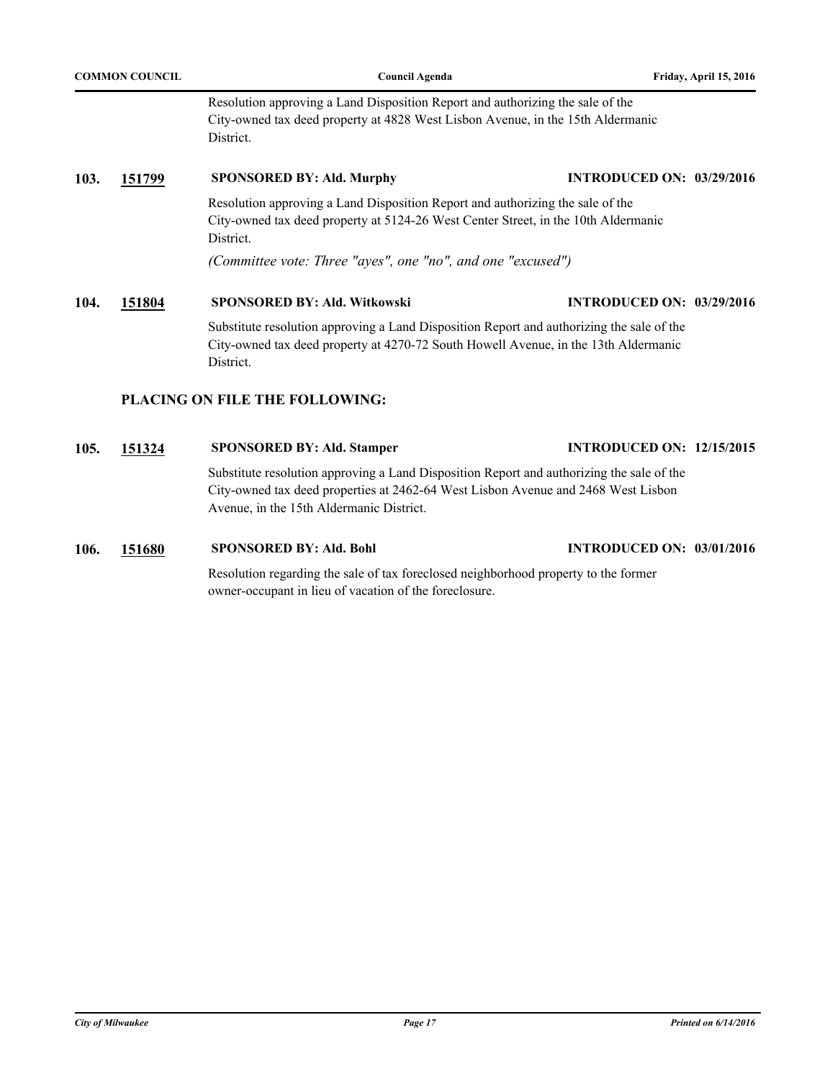| <b>COMMON COUNCIL</b> |        | Council Agenda                                                                                                                                                                                | Friday, April 15, 2016           |
|-----------------------|--------|-----------------------------------------------------------------------------------------------------------------------------------------------------------------------------------------------|----------------------------------|
|                       |        | Resolution approving a Land Disposition Report and authorizing the sale of the<br>City-owned tax deed property at 4828 West Lisbon Avenue, in the 15th Aldermanic<br>District.                |                                  |
| 103.                  | 151799 | <b>SPONSORED BY: Ald. Murphy</b>                                                                                                                                                              | <b>INTRODUCED ON: 03/29/2016</b> |
|                       |        | Resolution approving a Land Disposition Report and authorizing the sale of the<br>City-owned tax deed property at 5124-26 West Center Street, in the 10th Aldermanic<br>District.             |                                  |
|                       |        | (Committee vote: Three "ayes", one "no", and one "excused")                                                                                                                                   |                                  |
| 104.                  | 151804 | <b>SPONSORED BY: Ald. Witkowski</b>                                                                                                                                                           | <b>INTRODUCED ON: 03/29/2016</b> |
|                       |        | Substitute resolution approving a Land Disposition Report and authorizing the sale of the<br>City-owned tax deed property at 4270-72 South Howell Avenue, in the 13th Aldermanic<br>District. |                                  |
|                       |        | PLACING ON FILE THE FOLLOWING:                                                                                                                                                                |                                  |
| 105.                  | 151324 | <b>SPONSORED BY: Ald. Stamper</b>                                                                                                                                                             | <b>INTRODUCED ON: 12/15/2015</b> |

Substitute resolution approving a Land Disposition Report and authorizing the sale of the City-owned tax deed properties at 2462-64 West Lisbon Avenue and 2468 West Lisbon Avenue, in the 15th Aldermanic District.

**106. [151680](http://milwaukee.legistar.com/gateway.aspx?m=l&id=43371) SPONSORED BY: Ald. Bohl INTRODUCED ON: 03/01/2016**

Resolution regarding the sale of tax foreclosed neighborhood property to the former owner-occupant in lieu of vacation of the foreclosure.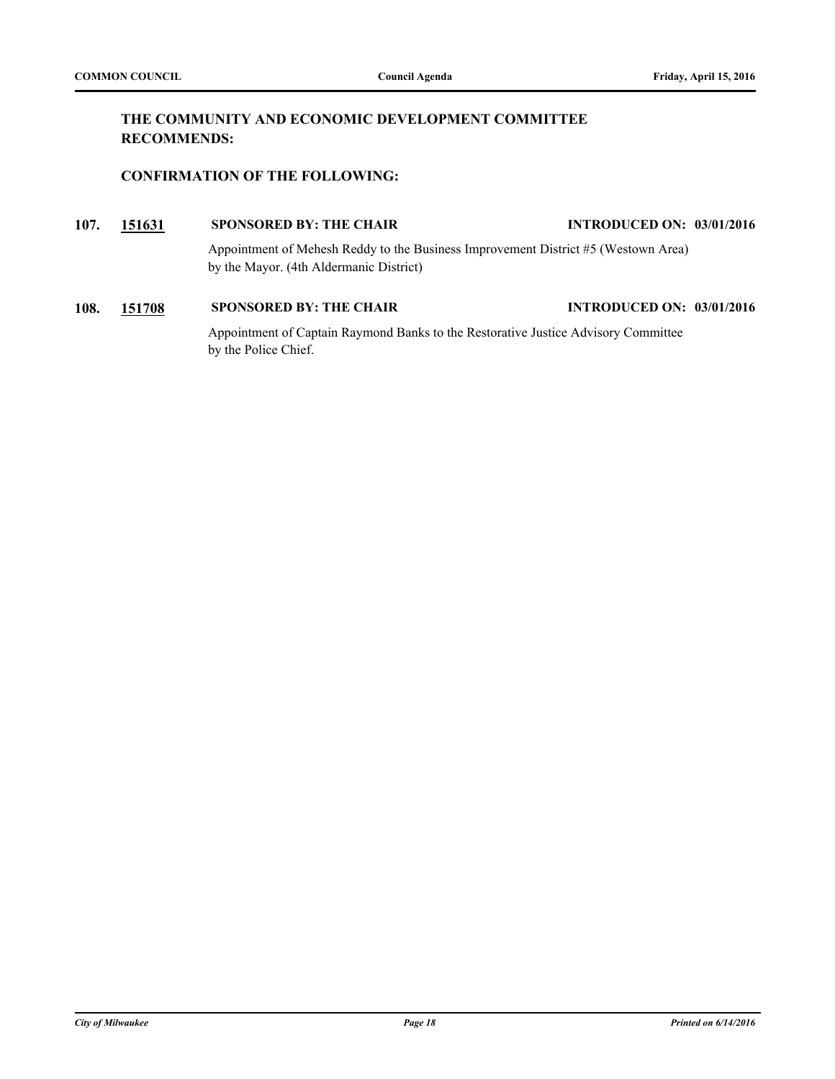## **THE COMMUNITY AND ECONOMIC DEVELOPMENT COMMITTEE RECOMMENDS:**

## **CONFIRMATION OF THE FOLLOWING:**

## **107. [151631](http://milwaukee.legistar.com/gateway.aspx?m=l&id=43318) SPONSORED BY: THE CHAIR INTRODUCED ON: 03/01/2016** Appointment of Mehesh Reddy to the Business Improvement District #5 (Westown Area) by the Mayor. (4th Aldermanic District)

**108. [151708](http://milwaukee.legistar.com/gateway.aspx?m=l&id=43407) SPONSORED BY: THE CHAIR INTRODUCED ON: 03/01/2016** Appointment of Captain Raymond Banks to the Restorative Justice Advisory Committee by the Police Chief.